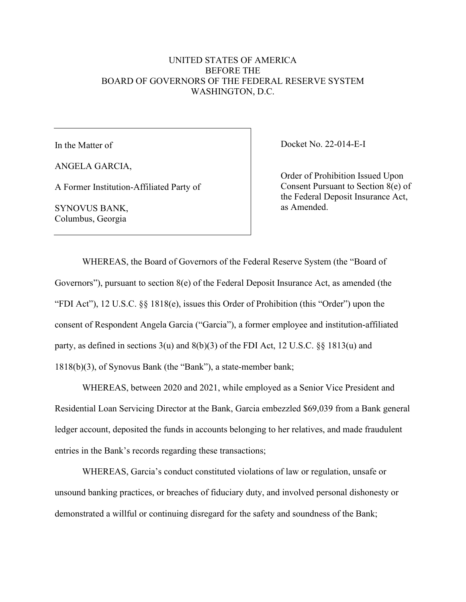## UNITED STATES OF AMERICA BEFORE THE BOARD OF GOVERNORS OF THE FEDERAL RESERVE SYSTEM WASHINGTON, D.C.

In the Matter of

ANGELA GARCIA,

A Former Institution-Affiliated Party of

SYNOVUS BANK, Columbus, Georgia

Docket No. 22-014-E-I

Order of Prohibition Issued Upon Consent Pursuant to Section 8(e) of the Federal Deposit Insurance Act, as Amended.

WHEREAS, the Board of Governors of the Federal Reserve System (the "Board of Governors"), pursuant to section 8(e) of the Federal Deposit Insurance Act, as amended (the "FDI Act"), 12 U.S.C. §§ 1818(e), issues this Order of Prohibition (this "Order") upon the consent of Respondent Angela Garcia ("Garcia"), a former employee and institution-affiliated party, as defined in sections 3(u) and 8(b)(3) of the FDI Act, 12 U.S.C. §§ 1813(u) and 1818(b)(3), of Synovus Bank (the "Bank"), a state-member bank;

WHEREAS, between 2020 and 2021, while employed as a Senior Vice President and Residential Loan Servicing Director at the Bank, Garcia embezzled \$69,039 from a Bank general ledger account, deposited the funds in accounts belonging to her relatives, and made fraudulent entries in the Bank's records regarding these transactions;

WHEREAS, Garcia's conduct constituted violations of law or regulation, unsafe or unsound banking practices, or breaches of fiduciary duty, and involved personal dishonesty or demonstrated a willful or continuing disregard for the safety and soundness of the Bank;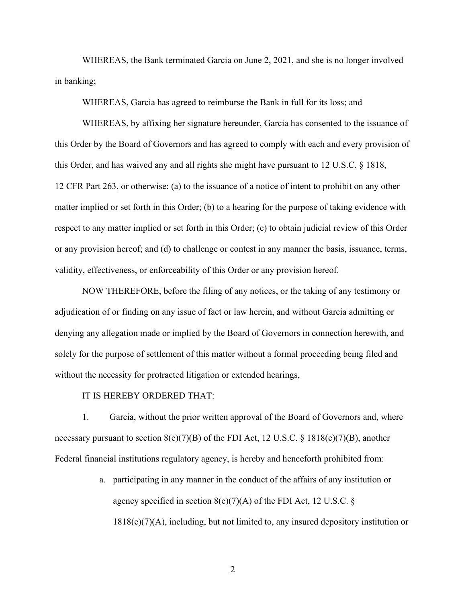WHEREAS, the Bank terminated Garcia on June 2, 2021, and she is no longer involved in banking;

WHEREAS, Garcia has agreed to reimburse the Bank in full for its loss; and

WHEREAS, by affixing her signature hereunder, Garcia has consented to the issuance of this Order by the Board of Governors and has agreed to comply with each and every provision of this Order, and has waived any and all rights she might have pursuant to 12 U.S.C. § 1818, 12 CFR Part 263, or otherwise: (a) to the issuance of a notice of intent to prohibit on any other matter implied or set forth in this Order; (b) to a hearing for the purpose of taking evidence with respect to any matter implied or set forth in this Order; (c) to obtain judicial review of this Order or any provision hereof; and (d) to challenge or contest in any manner the basis, issuance, terms, validity, effectiveness, or enforceability of this Order or any provision hereof.

NOW THEREFORE, before the filing of any notices, or the taking of any testimony or adjudication of or finding on any issue of fact or law herein, and without Garcia admitting or denying any allegation made or implied by the Board of Governors in connection herewith, and solely for the purpose of settlement of this matter without a formal proceeding being filed and without the necessity for protracted litigation or extended hearings,

## IT IS HEREBY ORDERED THAT:

1. Garcia, without the prior written approval of the Board of Governors and, where necessary pursuant to section  $8(e)(7)(B)$  of the FDI Act, 12 U.S.C. § 1818(e)(7)(B), another Federal financial institutions regulatory agency, is hereby and henceforth prohibited from:

> a. participating in any manner in the conduct of the affairs of any institution or agency specified in section  $8(e)(7)(A)$  of the FDI Act, 12 U.S.C. §  $1818(e)(7)(A)$ , including, but not limited to, any insured depository institution or

> > 2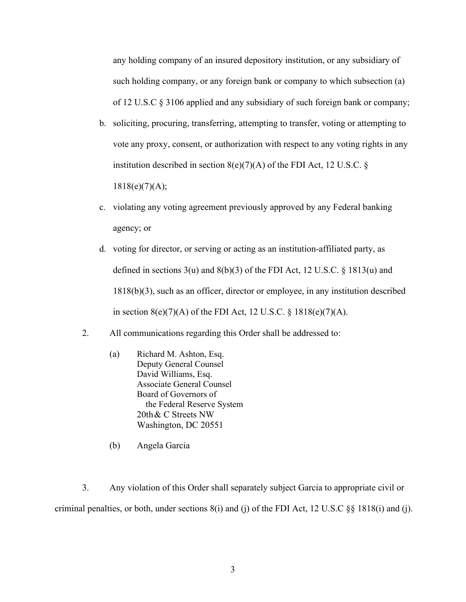any holding company of an insured depository institution, or any subsidiary of such holding company, or any foreign bank or company to which subsection (a) of 12 U.S.C § 3106 applied and any subsidiary of such foreign bank or company;

b. soliciting, procuring, transferring, attempting to transfer, voting or attempting to vote any proxy, consent, or authorization with respect to any voting rights in any institution described in section  $8(e)(7)(A)$  of the FDI Act, 12 U.S.C. §  $1818(e)(7)(A);$ 

c. violating any voting agreement previously approved by any Federal banking agency; or

- d. voting for director, or serving or acting as an institution-affiliated party, as defined in sections  $3(u)$  and  $8(b)(3)$  of the FDI Act, 12 U.S.C. § 1813(u) and 1818(b)(3), such as an officer, director or employee, in any institution described in section  $8(e)(7)(A)$  of the FDI Act, 12 U.S.C. § 1818(e)(7)(A).
- 2. All communications regarding this Order shall be addressed to:
	- (a) Richard M. Ashton, Esq. Deputy General Counsel David Williams, Esq. Associate General Counsel Board of Governors of the Federal Reserve System 20th& C Streets NW Washington, DC 20551
	- (b) Angela Garcia

3. Any violation of this Order shall separately subject Garcia to appropriate civil or criminal penalties, or both, under sections 8(i) and (j) of the FDI Act, 12 U.S.C §§ 1818(i) and (j).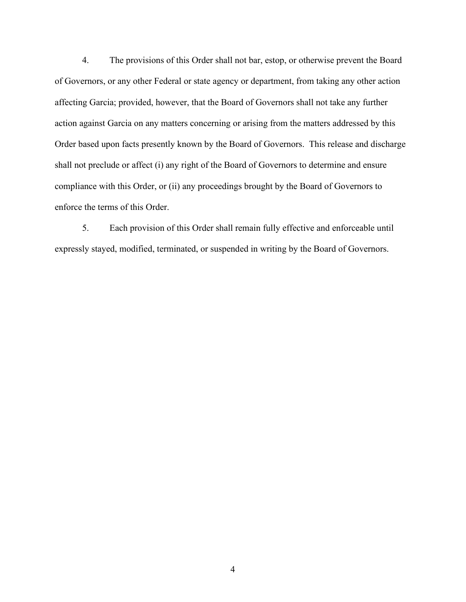4. The provisions of this Order shall not bar, estop, or otherwise prevent the Board of Governors, or any other Federal or state agency or department, from taking any other action affecting Garcia; provided, however, that the Board of Governors shall not take any further action against Garcia on any matters concerning or arising from the matters addressed by this Order based upon facts presently known by the Board of Governors. This release and discharge shall not preclude or affect (i) any right of the Board of Governors to determine and ensure compliance with this Order, or (ii) any proceedings brought by the Board of Governors to enforce the terms of this Order.

5. Each provision of this Order shall remain fully effective and enforceable until expressly stayed, modified, terminated, or suspended in writing by the Board of Governors.